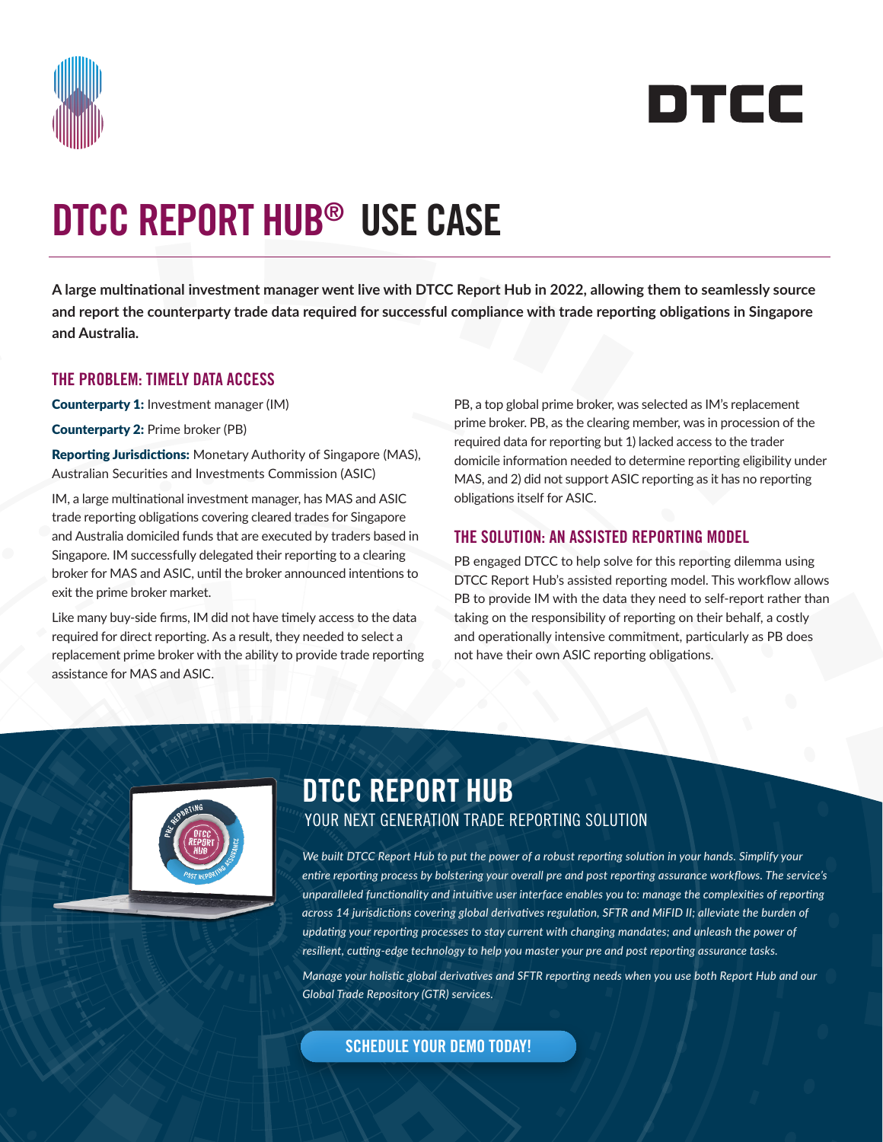



# DTCC REPORT HUB® USE CASE

**A large multinational investment manager went live with DTCC Report Hub in 2022, allowing them to seamlessly source and report the counterparty trade data required for successful compliance with trade reporting obligations in Singapore and Australia.**

### THE PROBLEM: TIMELY DATA ACCESS

Counterparty 1: Investment manager (IM)

Counterparty 2: Prime broker (PB)

Reporting Jurisdictions: Monetary Authority of Singapore (MAS), Australian Securities and Investments Commission (ASIC)

IM, a large multinational investment manager, has MAS and ASIC trade reporting obligations covering cleared trades for Singapore and Australia domiciled funds that are executed by traders based in Singapore. IM successfully delegated their reporting to a clearing broker for MAS and ASIC, until the broker announced intentions to exit the prime broker market.

Like many buy-side firms, IM did not have timely access to the data required for direct reporting. As a result, they needed to select a replacement prime broker with the ability to provide trade reporting assistance for MAS and ASIC.

PB, a top global prime broker, was selected as IM's replacement prime broker. PB, as the clearing member, was in procession of the required data for reporting but 1) lacked access to the trader domicile information needed to determine reporting eligibility under MAS, and 2) did not support ASIC reporting as it has no reporting obligations itself for ASIC.

### THE SOLUTION: AN ASSISTED REPORTING MODEL

PB engaged DTCC to help solve for this reporting dilemma using DTCC Report Hub's assisted reporting model. This workflow allows PB to provide IM with the data they need to self-report rather than taking on the responsibility of reporting on their behalf, a costly and operationally intensive commitment, particularly as PB does not have their own ASIC reporting obligations.



## DTCC REPORT HUB YOUR NEXT GENERATION TRADE REPORTING SOLUTION

*We built DTCC Report Hub to put the power of a robust reporting solution in your hands. Simplify your entire reporting process by bolstering your overall pre and post reporting assurance workflows. The service's unparalleled functionality and intuitive user interface enables you to: manage the complexities of reporting across 14 jurisdictions covering global derivatives regulation, SFTR and MiFID II; alleviate the burden of updating your reporting processes to stay current with changing mandates; and unleash the power of resilient, cutting-edge technology to help you master your pre and post reporting assurance tasks.*

*Manage your holistic global derivatives and SFTR reporting needs when you use both Report Hub and our Global Trade Repository (GTR) services.* 

[SCHEDULE YOUR DEMO TODAY!](https://communications.dtcc.com/report-hub-contact-us-LP5488A1LA1.html)